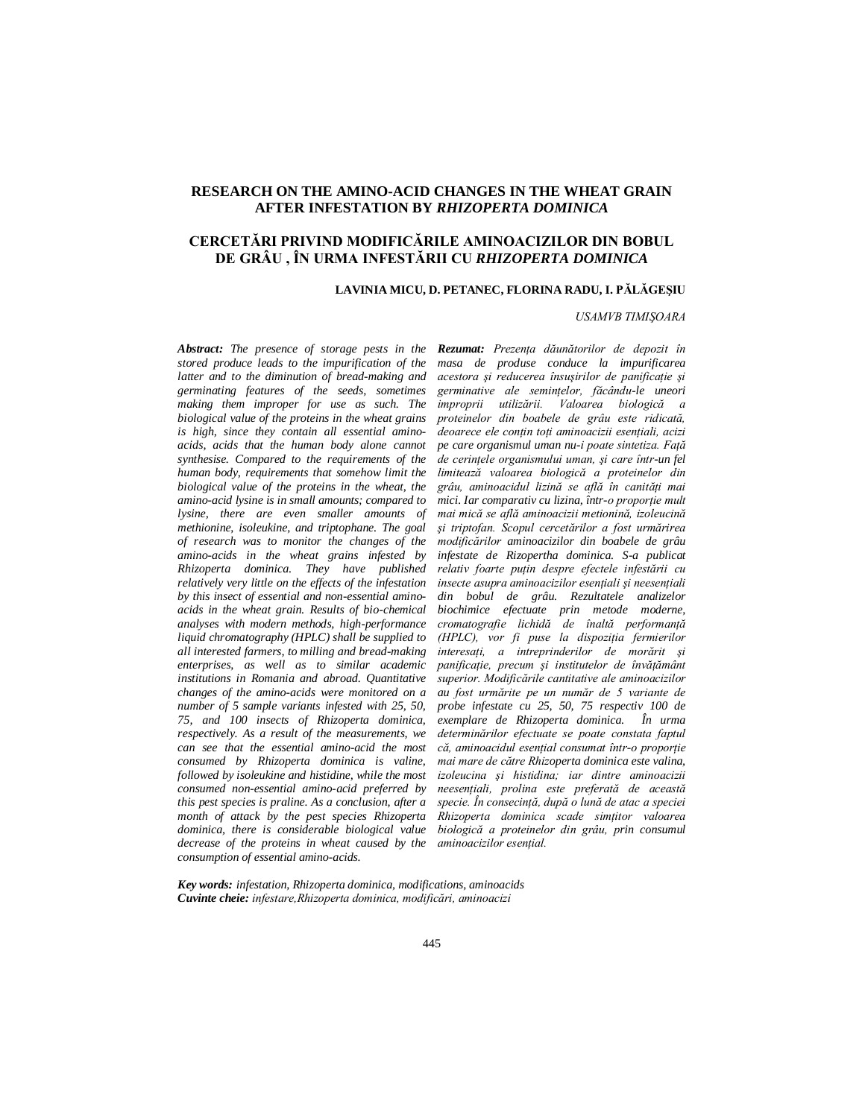# **RESEARCH ON THE AMINO-ACID CHANGES IN THE WHEAT GRAIN AFTER INFESTATION BY** *RHIZOPERTA DOMINICA*

# **CERCETĂRI PRIVIND MODIFICĂRILE AMINOACIZILOR DIN BOBUL DE GRÂU , ÎN URMA INFESTĂRII CU** *RHIZOPERTA DOMINICA*

#### **LAVINIA MICU, D. PETANEC, FLORINA RADU, I. PĂLĂGEŞIU**

### *USAMVB TIMIŞOARA*

*Abstract: The presence of storage pests in the stored produce leads to the impurification of the latter and to the diminution of bread-making and germinating features of the seeds, sometimes making them improper for use as such. The biological value of the proteins in the wheat grains is high, since they contain all essential aminoacids, acids that the human body alone cannot synthesise. Compared to the requirements of the human body, requirements that somehow limit the biological value of the proteins in the wheat, the amino-acid lysine is in small amounts; compared to lysine, there are even smaller amounts of methionine, isoleukine, and triptophane. The goal of research was to monitor the changes of the amino-acids in the wheat grains infested by Rhizoperta dominica. They have published relatively very little on the effects of the infestation by this insect of essential and non-essential aminoacids in the wheat grain. Results of bio-chemical analyses with modern methods, high-performance liquid chromatography (HPLC) shall be supplied to all interested farmers, to milling and bread-making enterprises, as well as to similar academic institutions in Romania and abroad. Quantitative changes of the amino-acids were monitored on a number of 5 sample variants infested with 25, 50, 75, and 100 insects of Rhizoperta dominica, respectively. As a result of the measurements, we can see that the essential amino-acid the most consumed by Rhizoperta dominica is valine, followed by isoleukine and histidine, while the most consumed non-essential amino-acid preferred by this pest species is praline. As a conclusion, after a month of attack by the pest species Rhizoperta dominica, there is considerable biological value decrease of the proteins in wheat caused by the consumption of essential amino-acids.*

*Rezumat: Prezenţa dăunătorilor de depozit în masa de produse conduce la impurificarea acestora şi reducerea însuşirilor de panificaţie şi germinative ale seminţelor, făcându-le uneori improprii utilizării. Valoarea biologică a proteinelor din boabele de grâu este ridicată, deoarece ele conţin toţi aminoacizii esenţiali, acizi pe care organismul uman nu-i poate sintetiza. Faţă de cerinţele organismului uman, şi care într-un fel limitează valoarea biologică a proteinelor din*  grâu, aminoacidul lizină se află în canități mai *mici. Iar comparativ cu lizina, într-o proportie mult mai mică se află aminoacizii metionină, izoleucină şi triptofan. Scopul cercetărilor a fost urmărirea modificărilor aminoacizilor din boabele de grâu infestate de Rizopertha dominica. S-a publicat relativ foarte puţin despre efectele infestării cu insecte asupra aminoacizilor esenţiali şi neesenţiali din bobul de grâu. Rezultatele analizelor biochimice efectuate prin metode moderne, cromatografie lichidă de înaltă performanţă (HPLC), vor fi puse la dispoziţia fermierilor interesaţi, a intreprinderilor de morărit şi panificaţie, precum şi institutelor de învăţământ superior. Modificările cantitative ale aminoacizilor au fost urmărite pe un număr de 5 variante de probe infestate cu 25, 50, 75 respectiv 100 de exemplare de Rhizoperta dominica. În urma determinărilor efectuate se poate constata faptul că, aminoacidul esenţial consumat într-o proporţie mai mare de către Rhizoperta dominica este valina, izoleucina şi histidina; iar dintre aminoacizii neesenţiali, prolina este preferată de această specie. În consecinţă, după o lună de atac a speciei Rhizoperta dominica scade simţitor valoarea biologică a proteinelor din grâu, prin consumul*   $aminoacizilor esential.$ 

*Key words: infestation, Rhizoperta dominica, modifications, aminoacids Cuvinte cheie: infestare,Rhizoperta dominica, modificări, aminoacizi*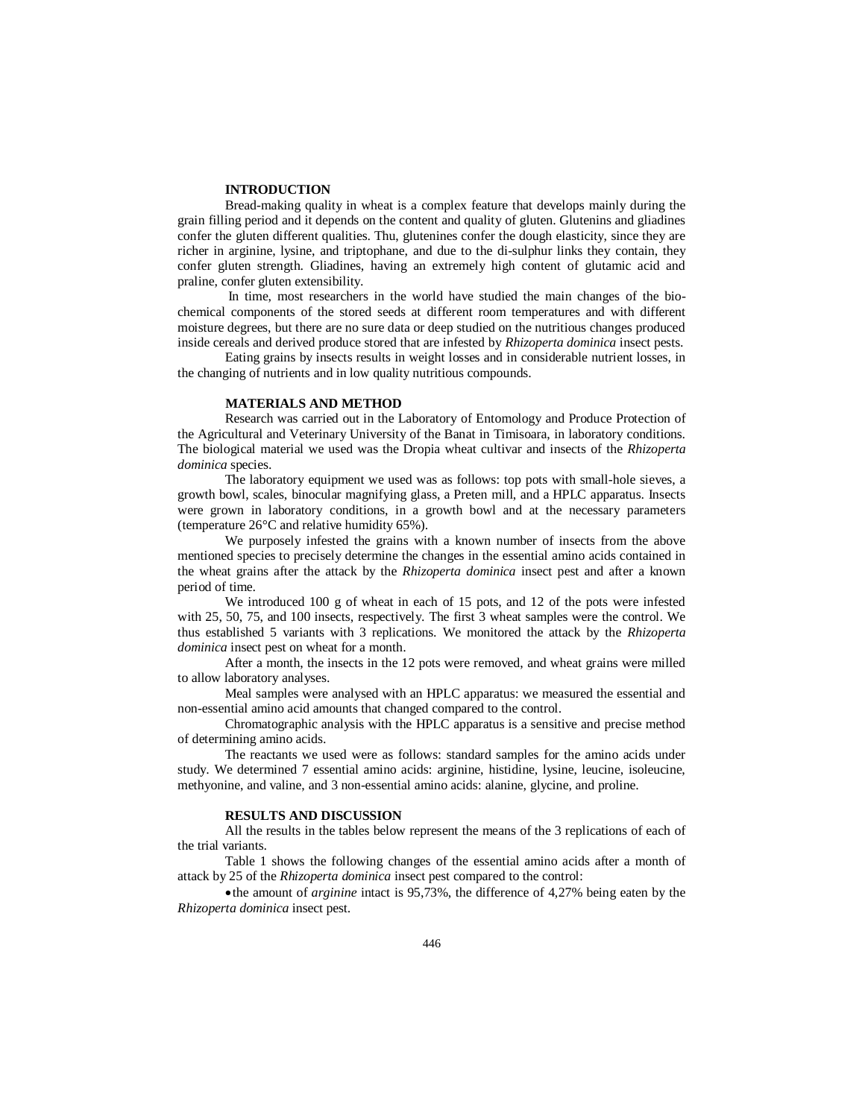#### **INTRODUCTION**

Bread-making quality in wheat is a complex feature that develops mainly during the grain filling period and it depends on the content and quality of gluten. Glutenins and gliadines confer the gluten different qualities. Thu, glutenines confer the dough elasticity, since they are richer in arginine, lysine, and triptophane, and due to the di-sulphur links they contain, they confer gluten strength. Gliadines, having an extremely high content of glutamic acid and praline, confer gluten extensibility.

 In time, most researchers in the world have studied the main changes of the biochemical components of the stored seeds at different room temperatures and with different moisture degrees, but there are no sure data or deep studied on the nutritious changes produced inside cereals and derived produce stored that are infested by *Rhizoperta dominica* insect pests.

Eating grains by insects results in weight losses and in considerable nutrient losses, in the changing of nutrients and in low quality nutritious compounds.

## **MATERIALS AND METHOD**

Research was carried out in the Laboratory of Entomology and Produce Protection of the Agricultural and Veterinary University of the Banat in Timisoara, in laboratory conditions. The biological material we used was the Dropia wheat cultivar and insects of the *Rhizoperta dominica* species.

The laboratory equipment we used was as follows: top pots with small-hole sieves, a growth bowl, scales, binocular magnifying glass, a Preten mill, and a HPLC apparatus. Insects were grown in laboratory conditions, in a growth bowl and at the necessary parameters (temperature 26°C and relative humidity 65%).

We purposely infested the grains with a known number of insects from the above mentioned species to precisely determine the changes in the essential amino acids contained in the wheat grains after the attack by the *Rhizoperta dominica* insect pest and after a known period of time.

We introduced 100 g of wheat in each of 15 pots, and 12 of the pots were infested with 25, 50, 75, and 100 insects, respectively. The first 3 wheat samples were the control. We thus established 5 variants with 3 replications. We monitored the attack by the *Rhizoperta dominica* insect pest on wheat for a month.

After a month, the insects in the 12 pots were removed, and wheat grains were milled to allow laboratory analyses.

Meal samples were analysed with an HPLC apparatus: we measured the essential and non-essential amino acid amounts that changed compared to the control.

Chromatographic analysis with the HPLC apparatus is a sensitive and precise method of determining amino acids.

The reactants we used were as follows: standard samples for the amino acids under study. We determined 7 essential amino acids: arginine, histidine, lysine, leucine, isoleucine, methyonine, and valine, and 3 non-essential amino acids: alanine, glycine, and proline.

#### **RESULTS AND DISCUSSION**

All the results in the tables below represent the means of the 3 replications of each of the trial variants.

Table 1 shows the following changes of the essential amino acids after a month of attack by 25 of the *Rhizoperta dominica* insect pest compared to the control:

the amount of *arginine* intact is 95,73%, the difference of 4,27% being eaten by the *Rhizoperta dominica* insect pest.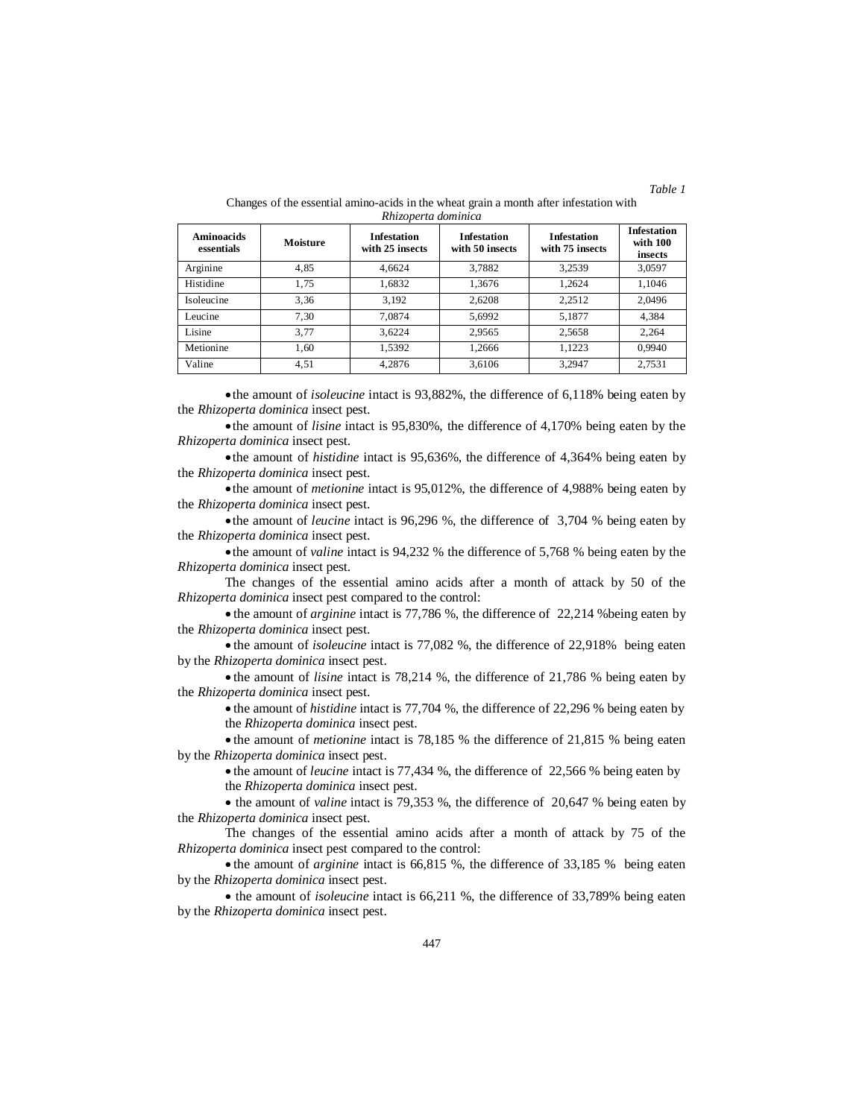| <b>Aminoacids</b><br>essentials | Moisture | <b>Infestation</b><br>with 25 insects | <b>Infestation</b><br>with 50 insects | <b>Infestation</b><br>with 75 insects | <b>Infestation</b><br>with 100<br>insects |
|---------------------------------|----------|---------------------------------------|---------------------------------------|---------------------------------------|-------------------------------------------|
| Arginine                        | 4,85     | 4.6624                                | 3,7882                                | 3,2539                                | 3,0597                                    |
| Histidine                       | 1,75     | 1,6832                                | 1,3676                                | 1,2624                                | 1.1046                                    |
| Isoleucine                      | 3.36     | 3.192                                 | 2.6208                                | 2.2512                                | 2.0496                                    |
| Leucine                         | 7.30     | 7.0874                                | 5.6992                                | 5.1877                                | 4,384                                     |
| Lisine                          | 3.77     | 3.6224                                | 2.9565                                | 2,5658                                | 2.264                                     |
| Metionine                       | 1.60     | 1,5392                                | 1,2666                                | 1.1223                                | 0.9940                                    |
| Valine                          | 4,51     | 4.2876                                | 3,6106                                | 3.2947                                | 2,7531                                    |

#### Changes of the essential amino-acids in the wheat grain a month after infestation with *Rhizoperta dominica*

*Table 1*

the amount of *isoleucine* intact is 93,882%, the difference of 6,118% being eaten by the *Rhizoperta dominica* insect pest.

the amount of *lisine* intact is 95,830%, the difference of 4,170% being eaten by the *Rhizoperta dominica* insect pest.

the amount of *histidine* intact is 95,636%, the difference of 4,364% being eaten by the *Rhizoperta dominica* insect pest.

the amount of *metionine* intact is 95,012%, the difference of 4,988% being eaten by the *Rhizoperta dominica* insect pest.

the amount of *leucine* intact is 96,296 %, the difference of 3,704 % being eaten by the *Rhizoperta dominica* insect pest.

the amount of *valine* intact is 94,232 % the difference of 5,768 % being eaten by the *Rhizoperta dominica* insect pest.

The changes of the essential amino acids after a month of attack by 50 of the *Rhizoperta dominica* insect pest compared to the control:

• the amount of *arginine* intact is 77,786 %, the difference of 22,214 % being eaten by the *Rhizoperta dominica* insect pest.

 the amount of *isoleucine* intact is 77,082 %, the difference of 22,918% being eaten by the *Rhizoperta dominica* insect pest.

• the amount of *lisine* intact is 78,214 %, the difference of 21,786 % being eaten by the *Rhizoperta dominica* insect pest.

• the amount of *histidine* intact is 77,704 %, the difference of 22,296 % being eaten by the *Rhizoperta dominica* insect pest.

• the amount of *metionine* intact is 78,185 % the difference of 21,815 % being eaten by the *Rhizoperta dominica* insect pest.

• the amount of *leucine* intact is 77,434 %, the difference of 22,566 % being eaten by the *Rhizoperta dominica* insect pest.

• the amount of *valine* intact is 79,353 %, the difference of 20,647 % being eaten by the *Rhizoperta dominica* insect pest.

The changes of the essential amino acids after a month of attack by 75 of the *Rhizoperta dominica* insect pest compared to the control:

 the amount of *arginine* intact is 66,815 %, the difference of 33,185 % being eaten by the *Rhizoperta dominica* insect pest.

 the amount of *isoleucine* intact is 66,211 %, the difference of 33,789% being eaten by the *Rhizoperta dominica* insect pest.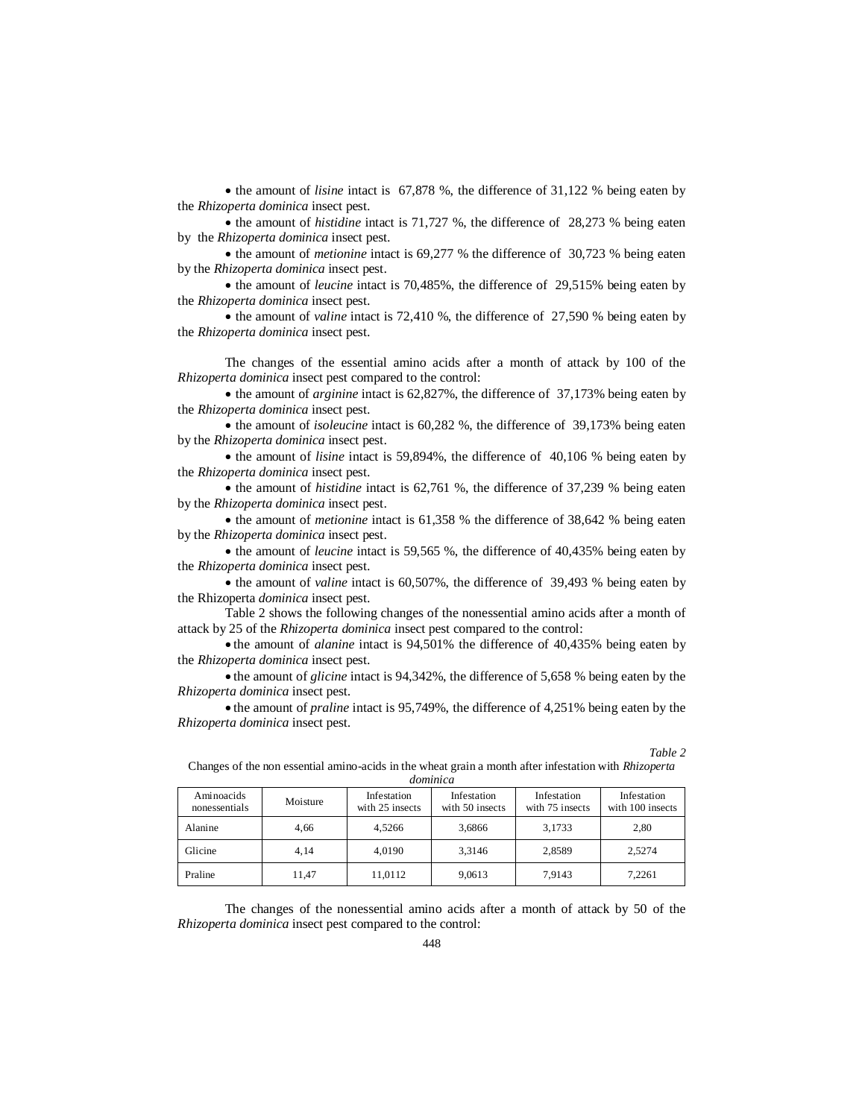• the amount of *lisine* intact is 67,878 %, the difference of 31,122 % being eaten by the *Rhizoperta dominica* insect pest.

• the amount of *histidine* intact is 71,727 %, the difference of 28,273 % being eaten by the *Rhizoperta dominica* insect pest.

• the amount of *metionine* intact is 69,277 % the difference of 30,723 % being eaten by the *Rhizoperta dominica* insect pest.

• the amount of *leucine* intact is 70,485%, the difference of 29,515% being eaten by the *Rhizoperta dominica* insect pest.

• the amount of *valine* intact is 72,410 %, the difference of 27,590 % being eaten by the *Rhizoperta dominica* insect pest.

The changes of the essential amino acids after a month of attack by 100 of the *Rhizoperta dominica* insect pest compared to the control:

• the amount of *arginine* intact is 62,827%, the difference of 37,173% being eaten by the *Rhizoperta dominica* insect pest.

• the amount of *isoleucine* intact is 60,282 %, the difference of 39,173% being eaten by the *Rhizoperta dominica* insect pest.

• the amount of *lisine* intact is 59,894%, the difference of 40,106 % being eaten by the *Rhizoperta dominica* insect pest.

• the amount of *histidine* intact is 62,761 %, the difference of 37,239 % being eaten by the *Rhizoperta dominica* insect pest.

• the amount of *metionine* intact is 61,358 % the difference of 38,642 % being eaten by the *Rhizoperta dominica* insect pest.

• the amount of *leucine* intact is 59,565 %, the difference of 40,435% being eaten by the *Rhizoperta dominica* insect pest.

• the amount of *valine* intact is 60,507%, the difference of 39,493 % being eaten by the Rhizoperta *dominica* insect pest.

Table 2 shows the following changes of the nonessential amino acids after a month of attack by 25 of the *Rhizoperta dominica* insect pest compared to the control:

 the amount of *alanine* intact is 94,501% the difference of 40,435% being eaten by the *Rhizoperta dominica* insect pest.

• the amount of *glicine* intact is 94,342%, the difference of 5,658 % being eaten by the *Rhizoperta dominica* insect pest.

• the amount of *praline* intact is 95,749%, the difference of 4,251% being eaten by the *Rhizoperta dominica* insect pest.

| dominica                    |          |                                |                                |                                |                                 |  |  |  |
|-----------------------------|----------|--------------------------------|--------------------------------|--------------------------------|---------------------------------|--|--|--|
| Aminoacids<br>nonessentials | Moisture | Infestation<br>with 25 insects | Infestation<br>with 50 insects | Infestation<br>with 75 insects | Infestation<br>with 100 insects |  |  |  |
| Alanine                     | 4.66     | 4.5266                         | 3,6866                         | 3,1733                         | 2,80                            |  |  |  |
| Glicine                     | 4.14     | 4.0190                         | 3,3146                         | 2,8589                         | 2,5274                          |  |  |  |
| Praline                     | 11,47    | 11,0112                        | 9,0613                         | 7,9143                         | 7,2261                          |  |  |  |

Changes of the non essential amino-acids in the wheat grain a month after infestation with *Rhizoperta* 

*Table 2*

The changes of the nonessential amino acids after a month of attack by 50 of the *Rhizoperta dominica* insect pest compared to the control: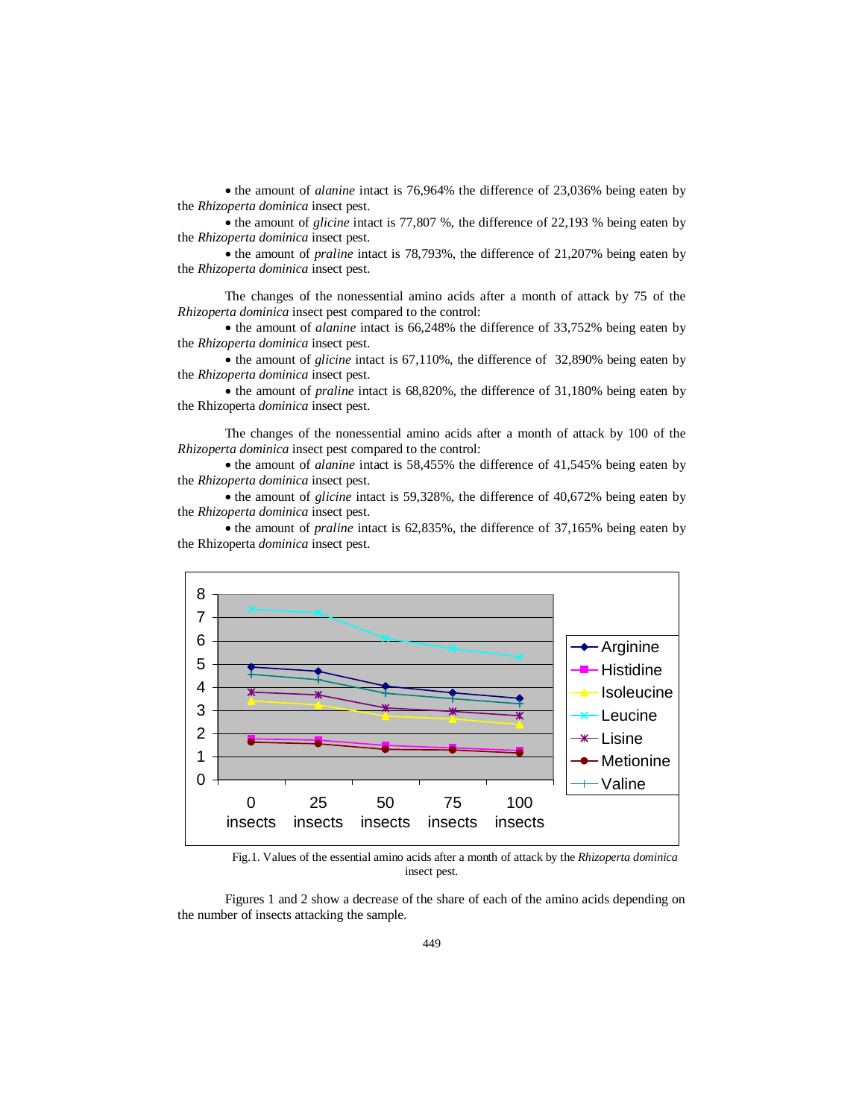• the amount of *alanine* intact is 76,964% the difference of 23,036% being eaten by the *Rhizoperta dominica* insect pest.

• the amount of *glicine* intact is 77,807 %, the difference of 22,193 % being eaten by the *Rhizoperta dominica* insect pest.

• the amount of *praline* intact is 78,793%, the difference of 21,207% being eaten by the *Rhizoperta dominica* insect pest.

The changes of the nonessential amino acids after a month of attack by 75 of the *Rhizoperta dominica* insect pest compared to the control:

• the amount of *alanine* intact is 66,248% the difference of 33,752% being eaten by the *Rhizoperta dominica* insect pest.

• the amount of *glicine* intact is 67,110%, the difference of 32,890% being eaten by the *Rhizoperta dominica* insect pest.

• the amount of *praline* intact is 68,820%, the difference of 31,180% being eaten by the Rhizoperta *dominica* insect pest.

The changes of the nonessential amino acids after a month of attack by 100 of the *Rhizoperta dominica* insect pest compared to the control:

• the amount of *alanine* intact is 58,455% the difference of 41,545% being eaten by the *Rhizoperta dominica* insect pest.

• the amount of *glicine* intact is 59,328%, the difference of 40,672% being eaten by the *Rhizoperta dominica* insect pest.

• the amount of *praline* intact is 62,835%, the difference of 37,165% being eaten by the Rhizoperta *dominica* insect pest.



Fig.1. Values of the essential amino acids after a month of attack by the *Rhizoperta dominica* insect pest.

Figures 1 and 2 show a decrease of the share of each of the amino acids depending on the number of insects attacking the sample.